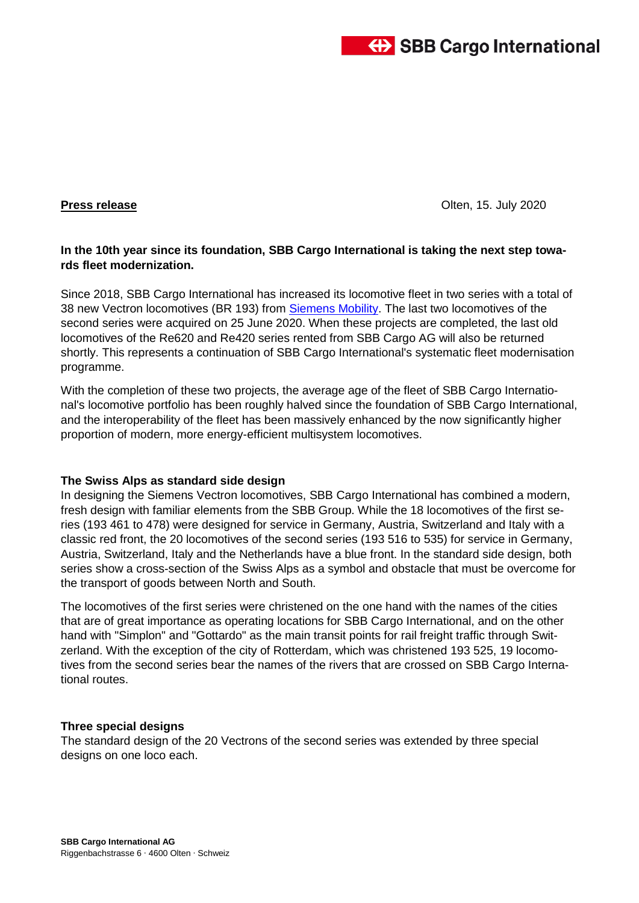

**Press release** Olten, 15. July 2020

# **In the 10th year since its foundation, SBB Cargo International is taking the next step towards fleet modernization.**

Since 2018, SBB Cargo International has increased its locomotive fleet in two series with a total of 38 new Vectron locomotives (BR 193) from [Siemens Mobility.](https://www.mobility.siemens.com/ch/de.html) The last two locomotives of the second series were acquired on 25 June 2020. When these projects are completed, the last old locomotives of the Re620 and Re420 series rented from SBB Cargo AG will also be returned shortly. This represents a continuation of SBB Cargo International's systematic fleet modernisation programme.

With the completion of these two projects, the average age of the fleet of SBB Cargo International's locomotive portfolio has been roughly halved since the foundation of SBB Cargo International, and the interoperability of the fleet has been massively enhanced by the now significantly higher proportion of modern, more energy-efficient multisystem locomotives.

#### **The Swiss Alps as standard side design**

In designing the Siemens Vectron locomotives, SBB Cargo International has combined a modern, fresh design with familiar elements from the SBB Group. While the 18 locomotives of the first series (193 461 to 478) were designed for service in Germany, Austria, Switzerland and Italy with a classic red front, the 20 locomotives of the second series (193 516 to 535) for service in Germany, Austria, Switzerland, Italy and the Netherlands have a blue front. In the standard side design, both series show a cross-section of the Swiss Alps as a symbol and obstacle that must be overcome for the transport of goods between North and South.

The locomotives of the first series were christened on the one hand with the names of the cities that are of great importance as operating locations for SBB Cargo International, and on the other hand with "Simplon" and "Gottardo" as the main transit points for rail freight traffic through Switzerland. With the exception of the city of Rotterdam, which was christened 193 525, 19 locomotives from the second series bear the names of the rivers that are crossed on SBB Cargo International routes.

#### **Three special designs**

The standard design of the 20 Vectrons of the second series was extended by three special designs on one loco each.